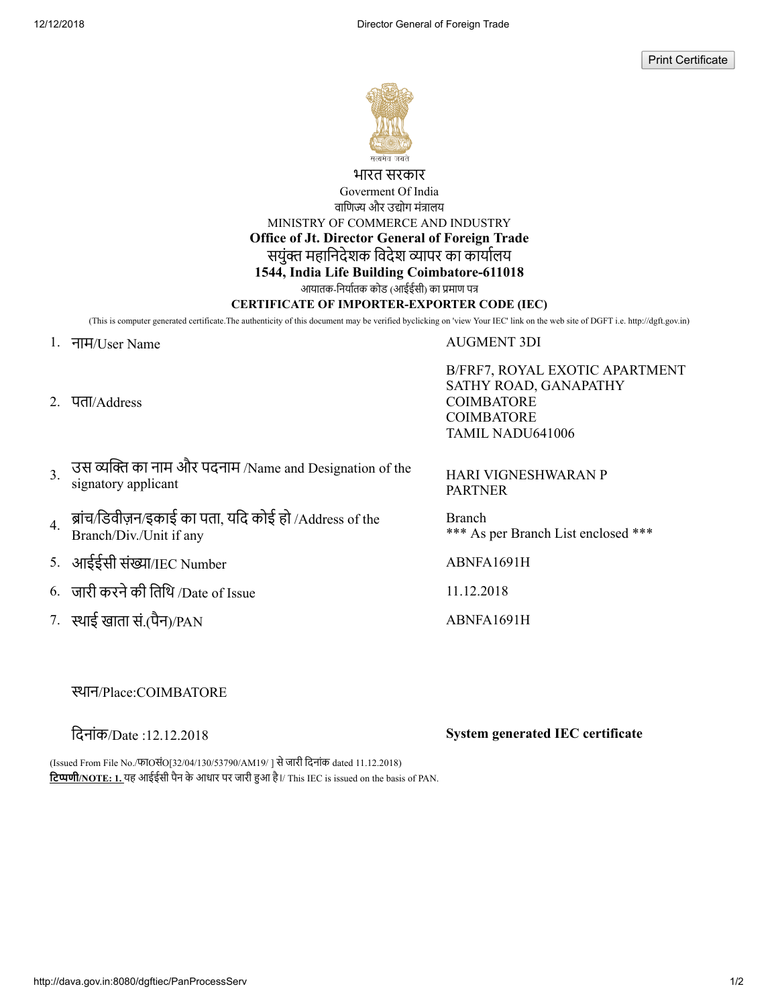Print Certificate



भारत सरकार Goverment Of India

वाणिज्य और उद्योग मंत्रालय

MINISTRY OF COMMERCE AND INDUSTRY

**Office of Jt. Director General of Foreign Trade**

सयुंक्त महानिदेशक विदेश व्यापर का कार्यालय

# **1544, India Life Building Coimbatore-611018**

आयातक-िनयातक कोड (आईईसी) का माण प

### **CERTIFICATE OF IMPORTER-EXPORTER CODE (IEC)**

(This is computer generated certificate.The authenticity of this document may be verified byclicking on 'view Your IEC' link on the web site of DGFT i.e. http://dgft.gov.in)

1. नाम/User Name AUGMENT 3DI

2. पता/Address

B/FRF7, ROYAL EXOTIC APARTMENT SATHY ROAD, GANAPATHY **COIMBATORE** COIMBATORE TAMIL NADU641006

3. उस व्यक्ति का नाम और पदनाम /Name and Designation of the HARI VIGNESHWARAN P<br>signatory applicant and Designation of the HARI VIGNESHWARAN P

4. ब्रांच/डिवीज़न/इकाई का पता, यदि कोई हो /Address of the Branch/Div./Unit if any

5. आईईसी संख्या/IEC Number ABNFA1691H

- 6. जारी करनेकी ितिथ /Date of Issue 11.12.2018
- 7. थाई खाता सं.(पैन)/PAN ABNFA1691H

PARTNER

Branch \*\*\* As per Branch List enclosed \*\*\*

# थान/Place:COIMBATORE

िदनांक/Date :12.12.2018 **System generated IEC certificate**

(Issued From File No./फाOसंO[32/04/130/53790/AM19/ ] सेजारी िदनांक dated 11.12.2018) **िटणी/NOTE: 1.** यह आईईसी पैन के आधार पर जारी आ है।/ This IEC is issued on the basis of PAN.